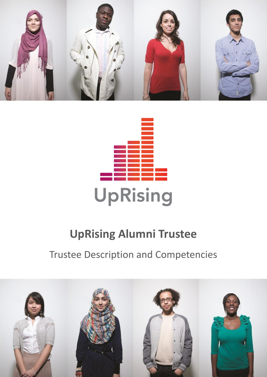



# **UpRising Alumni Trustee**

## Trustee Description and Competencies

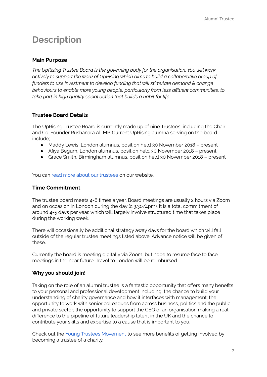### **Description**

#### **Main Purpose**

*The UpRising Trustee Board is the governing body for the organisation. You will work actively to support the work of UpRising which aims to build a collaborative group of funders to use investment to develop funding that will stimulate demand & change behaviours to enable more young people, particularly from less affluent communities, to take part in high quality social action that builds a habit for life.*

#### **Trustee Board Details**

The UpRising Trustee Board is currently made up of nine Trustees, including the Chair and Co-Founder Rushanara Ali MP. Current UpRising alumna serving on the board include;

- Maddy Lewis, London alumnus, position held 30 November 2018 present
- Afiya Begum, London alumnus, position held 30 November 2018 present
- Grace Smith, Birmingham alumnus, position held 30 November 2018 present

You can read more about our [trustees](https://uprising.org.uk/who-we-are/people/trustees) on our website.

#### **Time Commitment**

The trustee board meets 4-6 times a year. Board meetings are usually 2 hours via Zoom and on occasion in London during the day (c.3.30/4pm). It is a total commitment of around 4-5 days per year, which will largely involve structured time that takes place during the working week.

There will occasionally be additional strategy away days for the board which will fall outside of the regular trustee meetings listed above. Advance notice will be given of these.

Currently the board is meeting digitally via Zoom, but hope to resume face to face meetings in the near future. Travel to London will be reimbursed.

#### **Why you should join!**

Taking on the role of an alumni trustee is a fantastic opportunity that offers many benefits to your personal and professional development including; the chance to build your understanding of charity governance and how it interfaces with management; the opportunity to work with senior colleagues from across business, politics and the public and private sector; the opportunity to support the CEO of an organisation making a real difference to the pipeline of future leadership talent in the UK and the chance to contribute your skills and expertise to a cause that is important to you.

Check out the Young Trustees [Movement](http://youngtrusteesmovement.org) to see more benefits of getting involved by becoming a trustee of a charity.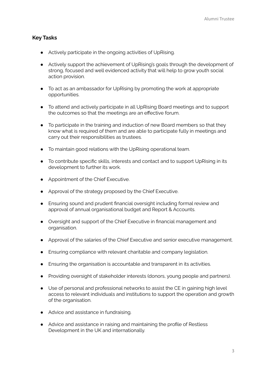#### **Key Tasks**

- Actively participate in the ongoing activities of UpRising.
- Actively support the achievement of UpRising's goals through the development of strong, focused and well evidenced activity that will help to grow youth social action provision.
- To act as an ambassador for UpRising by promoting the work at appropriate opportunities.
- To attend and actively participate in all UpRising Board meetings and to support the outcomes so that the meetings are an effective forum.
- To participate in the training and induction of new Board members so that they know what is required of them and are able to participate fully in meetings and carry out their responsibilities as trustees.
- To maintain good relations with the UpRising operational team.
- To contribute specific skills, interests and contact and to support UpRising in its development to further its work.
- Appointment of the Chief Executive.
- Approval of the strategy proposed by the Chief Executive.
- Ensuring sound and prudent financial oversight including formal review and approval of annual organisational budget and Report & Accounts.
- Oversight and support of the Chief Executive in financial management and organisation.
- Approval of the salaries of the Chief Executive and senior executive management.
- Ensuring compliance with relevant charitable and company legislation.
- Ensuring the organisation is accountable and transparent in its activities.
- Providing oversight of stakeholder interests (donors, young people and partners).
- Use of personal and professional networks to assist the CE in gaining high level access to relevant individuals and institutions to support the operation and growth of the organisation.
- Advice and assistance in fundraising.
- Advice and assistance in raising and maintaining the profile of Restless Development in the UK and internationally.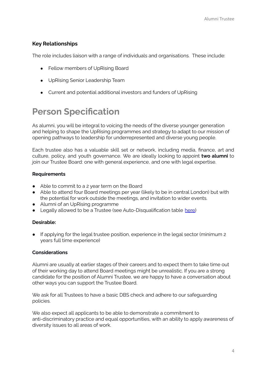#### **Key Relationships**

The role includes liaison with a range of individuals and organisations. These include:

- Fellow members of UpRising Board
- UpRising Senior Leadership Team
- Current and potential additional investors and funders of UpRising

## **Person Specification**

As alumni, you will be integral to voicing the needs of the diverse younger generation and helping to shape the UpRising programmes and strategy to adapt to our mission of opening pathways to leadership for underrepresented and diverse young people.

Each trustee also has a valuable skill set or network, including media, finance, art and culture, policy, and youth governance. We are ideally looking to appoint **two alumni** to join our Trustee Board: one with general experience, and one with legal expertise.

#### **Requirements**

- Able to commit to a 2 year term on the Board
- Able to attend four Board meetings per year (likely to be in central London) but with the potential for work outside the meetings, and invitation to wider events.
- Alumni of an UpRising programme
- Legally allowed to be a Trustee (see Auto-Disqualification table [here\)](https://assets.publishing.service.gov.uk/government/uploads/system/uploads/attachment_data/file/731084/010818_Disqualification_Reasons_Table_v2.pdf)

#### **Desirable:**

● If applying for the legal trustee position, experience in the legal sector (minimum 2 years full time experience)

#### **Considerations**

Alumni are usually at earlier stages of their careers and to expect them to take time out of their working day to attend Board meetings might be unrealistic. If you are a strong candidate for the position of Alumni Trustee, we are happy to have a conversation about other ways you can support the Trustee Board.

We ask for all Trustees to have a basic DBS check and adhere to our safeguarding policies.

We also expect all applicants to be able to demonstrate a commitment to anti-discriminatory practice and equal opportunities, with an ability to apply awareness of diversity issues to all areas of work.